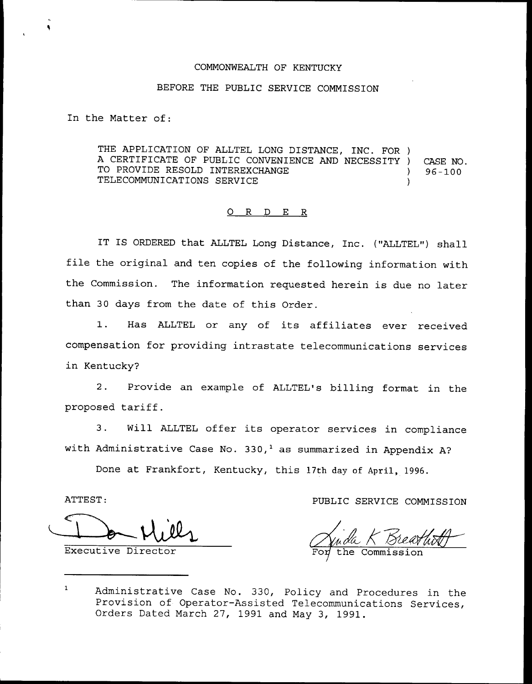## COMMONWEALTH OF KENTUCKY

## BEFORE THE PUBLIC SERVICE COMMISSION

In the Matter of:

THE APPLICATION OF ALLTEL LONG DISTANCE, INC. FOR ) A CERTIFICATE OF PUBLIC CONVENIENCE AND NECESSITY ) CASE NO.<br>TO PROVIDE RESOLD INTEREXCHANGE (96-100 TO PROVIDE RESOLD INTEREXCHANGE TELECOMMUNICATIONS SERVICE )

## 0 <sup>R</sup> <sup>D</sup> E R

IT IS ORDERED that ALLTEL Long Distance, Inc. ("ALLTEL") shall file the original and ten copies of the following information with the Commission. The information requested herein is due no later than 30 days from the date of this Order.

1. Has ALLTEL or any of its affiliates ever received compensation for providing intrastate telecommunications services in Kentucky?

2. Provide an example of ALLTEL's billing format in the proposed tariff.

3. Will ALLTEL offer its operator services in compliance with Administrative Case No. 330,<sup>1</sup> as summarized in Appendix A?

Done at Frankfort, Kentucky, this 17th day of April, 1996.

Executive Director

ATTEST: PUBLIC SERVICE COMMISSION

 $\mathbf{1}$ Administrative Case No. 330, Policy and Procedures in the Provision of Operator-Assisted Telecommunications Services, Orders Dated March 27, 1991 and May 3, 1991.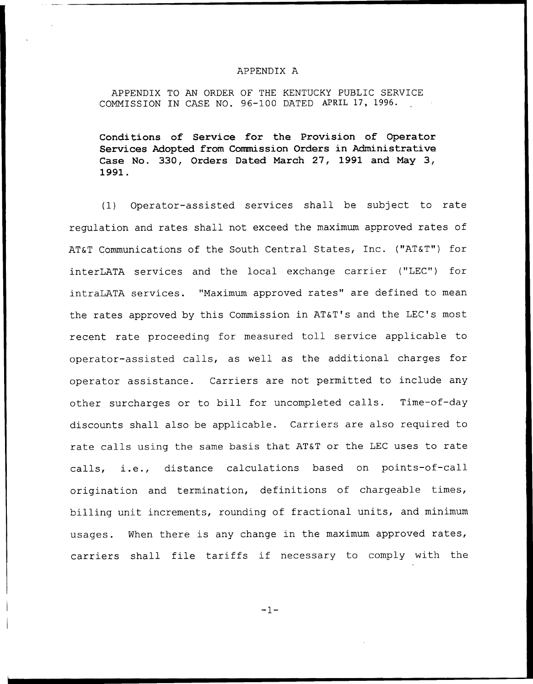## APPENDIX A

APPENDIX TO AN ORDER OF THE KENTUCKY PUBLIC SERVICE COMMISSION IN CASE NO. 96-100 DATED APRIL 17, 1996.

Conditions of Service for the Provision of Operator Services Adopted from Commission Oxdexs in Administrative Case No. 330, Orders Dated March 27, 1991 and May 3, 1991.

(1) Operator-assisted services shall be subject to rate regulation and rates shall not exceed the maximum approved rates of AT&T Communications of the South Central States, Inc. ("AT&T") for interLATA services and the local exchange carrier ("LEC") for intraLATA services. "Maximum approved rates" are defined to mean the rates approved by this Commission in AT&T's and the LEC's most recent rate proceeding for measured toll service applicable to operator-assisted calls, as well as the additional charges for operator assistance. Carriers are not permitted to include any other surcharges or to bill for uncompleted calls. Time-of-day discounts shall also be applicable. Carriers are also required to rate calls using the same basis that AT&T or the LEC uses to rate calls, i.e., distance calculations based on points-of-call origination and termination, definitions of chargeable times, billing unit increments, rounding of fractional units, and minimum usages. When there is any change in the maximum approved rates, carriers shall file tariffs if necessary to comply with the

 $-1-$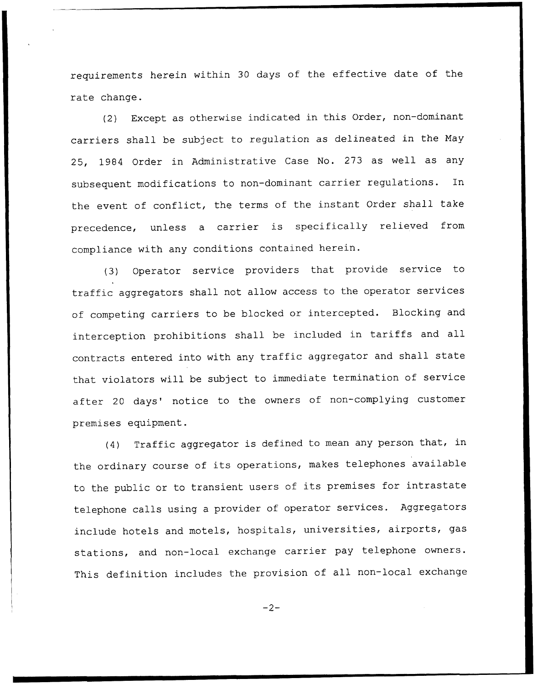requirements herein within 30 days of the effective date of the rate change.

(2) Except as otherwise indicated in this Order, non-dominant carriers shall be subject to regulation as delineated in the Nay 25, 1984 Order in Administrative Case No. 273 as well as any subsequent modifications to non-dominant carrier regulations. In the event of conflict, the terms of the instant Order shall take precedence, unless <sup>a</sup> carrier is specifically relieved from compliance with any conditions contained herein.

(3) Operator service providers that provide service to traffic aggregators shall not allow access to the operator services of competing carriers to be blocked or intercepted. Blocking and interception prohibitions shall be included in tariffs and all contracts entered into with any traffic aggregator and shall state that violators will be subject to immediate termination of service after 20 days' notice to the owners of non-complying customer premises equipment.

(4) Traffic aggregator is defined to mean any person that, in the ordinary course of its operations, makes telephones available to the public or to transient users of its premises for intrastate telephone calls using <sup>a</sup> provider of operator services. Aggregators include hotels and motels, hospitals, universities, airports, gas stations, and non-local exchange carrier pay telephone owners. This definition includes the provision of all non-local exchange

 $-2-$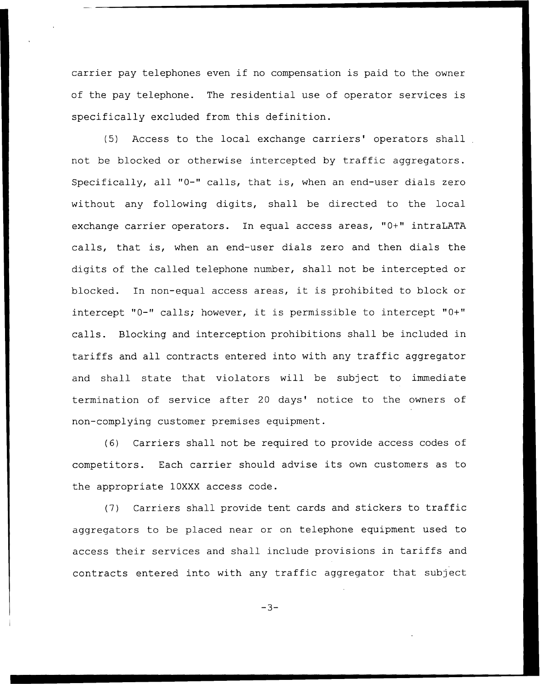carrier pay telephones even if no compensation is paid to the owner of the pay telephone. The residential use of operator services is specifically excluded from this definition.

(5) Access to the local exchange carriers' operators shall not be blocked or otherwise intercepted by traffic aggregators. Specifically, all "0-" calls, that is, when an end-user dials zero without any following digits, shall be directed to the local exchange carrier operators. In equal access areas, "0+" intraLATA calls, that is, when an end-user dials zero and then dials the digits of the called telephone number, shall not be intercepted or blocked. In non-equal access areas, it is prohibited to block or intercept "0-" calls; however, it is permissible to intercept "0+" calls. Blocking and interception prohibitions shall be included in tariffs and all contracts entered into with any traffic aggregator and shall state that violators will be subject to immediate termination of service after 20 days' notice to the owners of non-complying customer premises equipment.

(6) Carriers shall not be required to provide access codes of competitors. Each carrier should advise its own customers as to the appropriate 10XXX access code.

(7) Carriers shall provide tent cards and stickers to traffic aggregators to be placed near or on telephone equipment used to access their services and shall include provisions in tariffs and contracts entered into with any traffic aggregator that subject

 $-3-$